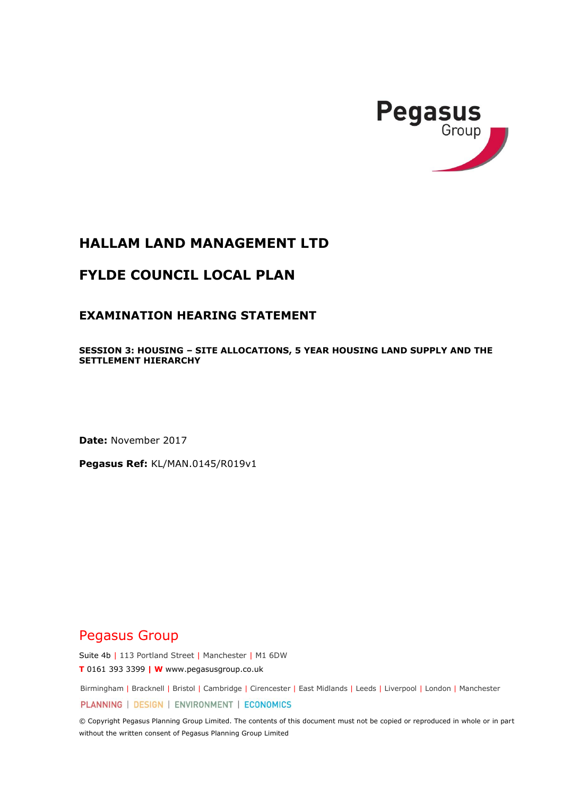

# **HALLAM LAND MANAGEMENT LTD**

# **FYLDE COUNCIL LOCAL PLAN**

# **EXAMINATION HEARING STATEMENT**

**SESSION 3: HOUSING – SITE ALLOCATIONS, 5 YEAR HOUSING LAND SUPPLY AND THE SETTLEMENT HIERARCHY** 

**Date:** November 2017

**Pegasus Ref:** KL/MAN.0145/R019v1

# Pegasus Group

Suite 4b | 113 Portland Street | Manchester | M1 6DW

**T** 0161 393 3399 **| W** www.pegasusgroup.co.uk

Birmingham | Bracknell | Bristol | Cambridge | Cirencester | East Midlands | Leeds | Liverpool | London | Manchester

PLANNING | DESIGN | ENVIRONMENT | ECONOMICS

© Copyright Pegasus Planning Group Limited. The contents of this document must not be copied or reproduced in whole or in part without the written consent of Pegasus Planning Group Limited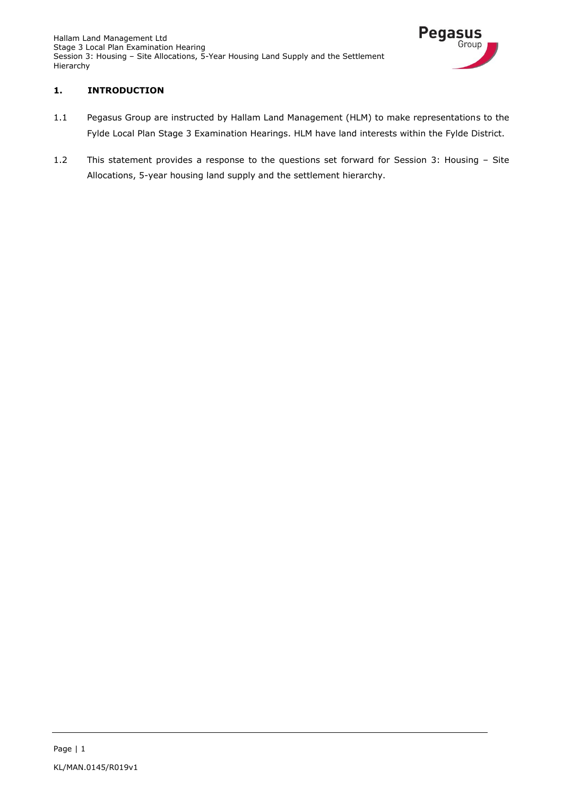Hallam Land Management Ltd Stage 3 Local Plan Examination Hearing Session 3: Housing – Site Allocations, 5-Year Housing Land Supply and the Settlement Hierarchy



# **1. INTRODUCTION**

- 1.1 Pegasus Group are instructed by Hallam Land Management (HLM) to make representations to the Fylde Local Plan Stage 3 Examination Hearings. HLM have land interests within the Fylde District.
- 1.2 This statement provides a response to the questions set forward for Session 3: Housing Site Allocations, 5-year housing land supply and the settlement hierarchy.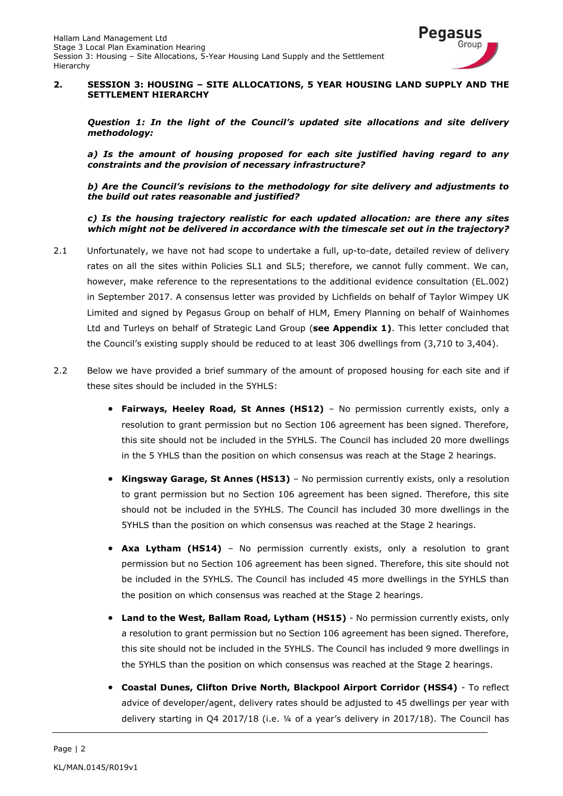

#### **2. SESSION 3: HOUSING – SITE ALLOCATIONS, 5 YEAR HOUSING LAND SUPPLY AND THE SETTLEMENT HIERARCHY**

*Question 1: In the light of the Council's updated site allocations and site delivery methodology:*

*a) Is the amount of housing proposed for each site justified having regard to any constraints and the provision of necessary infrastructure?*

*b) Are the Council's revisions to the methodology for site delivery and adjustments to the build out rates reasonable and justified?*

*c) Is the housing trajectory realistic for each updated allocation: are there any sites which might not be delivered in accordance with the timescale set out in the trajectory?*

- 2.1 Unfortunately, we have not had scope to undertake a full, up-to-date, detailed review of delivery rates on all the sites within Policies SL1 and SL5; therefore, we cannot fully comment. We can, however, make reference to the representations to the additional evidence consultation (EL.002) in September 2017. A consensus letter was provided by Lichfields on behalf of Taylor Wimpey UK Limited and signed by Pegasus Group on behalf of HLM, Emery Planning on behalf of Wainhomes Ltd and Turleys on behalf of Strategic Land Group (**see Appendix 1)**. This letter concluded that the Council's existing supply should be reduced to at least 306 dwellings from (3,710 to 3,404).
- 2.2 Below we have provided a brief summary of the amount of proposed housing for each site and if these sites should be included in the 5YHLS:
	- **Fairways, Heeley Road, St Annes (HS12)** No permission currently exists, only a resolution to grant permission but no Section 106 agreement has been signed. Therefore, this site should not be included in the 5YHLS. The Council has included 20 more dwellings in the 5 YHLS than the position on which consensus was reach at the Stage 2 hearings.
	- **Kingsway Garage, St Annes (HS13)**  No permission currently exists, only a resolution to grant permission but no Section 106 agreement has been signed. Therefore, this site should not be included in the 5YHLS. The Council has included 30 more dwellings in the 5YHLS than the position on which consensus was reached at the Stage 2 hearings.
	- **Axa Lytham (HS14)**  No permission currently exists, only a resolution to grant permission but no Section 106 agreement has been signed. Therefore, this site should not be included in the 5YHLS. The Council has included 45 more dwellings in the 5YHLS than the position on which consensus was reached at the Stage 2 hearings.
	- **Land to the West, Ballam Road, Lytham (HS15)** No permission currently exists, only a resolution to grant permission but no Section 106 agreement has been signed. Therefore, this site should not be included in the 5YHLS. The Council has included 9 more dwellings in the 5YHLS than the position on which consensus was reached at the Stage 2 hearings.
	- **Coastal Dunes, Clifton Drive North, Blackpool Airport Corridor (HSS4)**  To reflect advice of developer/agent, delivery rates should be adjusted to 45 dwellings per year with delivery starting in Q4 2017/18 (i.e. ¼ of a year's delivery in 2017/18). The Council has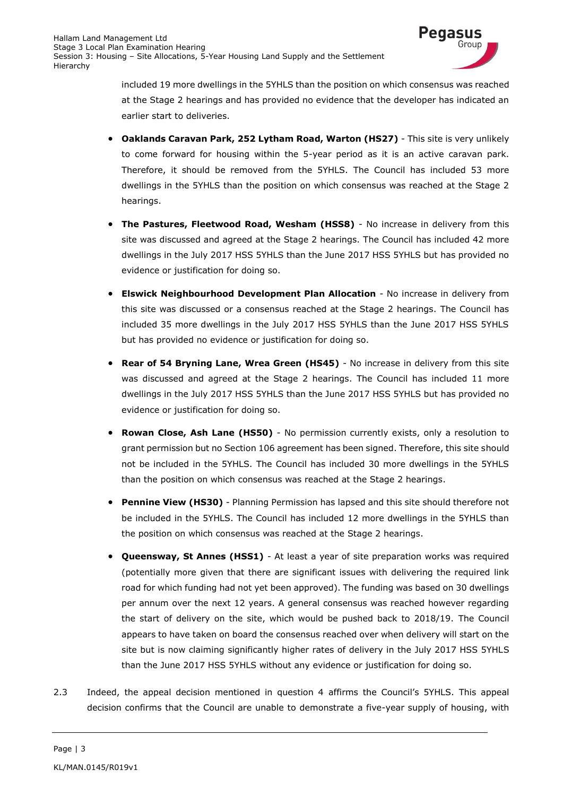

included 19 more dwellings in the 5YHLS than the position on which consensus was reached at the Stage 2 hearings and has provided no evidence that the developer has indicated an earlier start to deliveries.

- **Oaklands Caravan Park, 252 Lytham Road, Warton (HS27)**  This site is very unlikely to come forward for housing within the 5-year period as it is an active caravan park. Therefore, it should be removed from the 5YHLS. The Council has included 53 more dwellings in the 5YHLS than the position on which consensus was reached at the Stage 2 hearings.
- **The Pastures, Fleetwood Road, Wesham (HSS8)**  No increase in delivery from this site was discussed and agreed at the Stage 2 hearings. The Council has included 42 more dwellings in the July 2017 HSS 5YHLS than the June 2017 HSS 5YHLS but has provided no evidence or justification for doing so.
- **Elswick Neighbourhood Development Plan Allocation**  No increase in delivery from this site was discussed or a consensus reached at the Stage 2 hearings. The Council has included 35 more dwellings in the July 2017 HSS 5YHLS than the June 2017 HSS 5YHLS but has provided no evidence or justification for doing so.
- **Rear of 54 Bryning Lane, Wrea Green (HS45)**  No increase in delivery from this site was discussed and agreed at the Stage 2 hearings. The Council has included 11 more dwellings in the July 2017 HSS 5YHLS than the June 2017 HSS 5YHLS but has provided no evidence or justification for doing so.
- **Rowan Close, Ash Lane (HS50)**  No permission currently exists, only a resolution to grant permission but no Section 106 agreement has been signed. Therefore, this site should not be included in the 5YHLS. The Council has included 30 more dwellings in the 5YHLS than the position on which consensus was reached at the Stage 2 hearings.
- **Pennine View (HS30)**  Planning Permission has lapsed and this site should therefore not be included in the 5YHLS. The Council has included 12 more dwellings in the 5YHLS than the position on which consensus was reached at the Stage 2 hearings.
- **Queensway, St Annes (HSS1)**  At least a year of site preparation works was required (potentially more given that there are significant issues with delivering the required link road for which funding had not yet been approved). The funding was based on 30 dwellings per annum over the next 12 years. A general consensus was reached however regarding the start of delivery on the site, which would be pushed back to 2018/19. The Council appears to have taken on board the consensus reached over when delivery will start on the site but is now claiming significantly higher rates of delivery in the July 2017 HSS 5YHLS than the June 2017 HSS 5YHLS without any evidence or justification for doing so.
- 2.3 Indeed, the appeal decision mentioned in question 4 affirms the Council's 5YHLS. This appeal decision confirms that the Council are unable to demonstrate a five-year supply of housing, with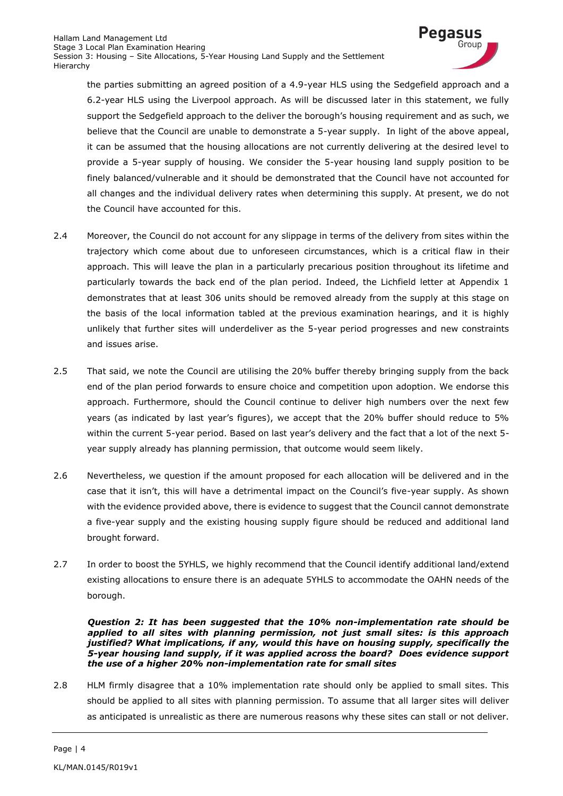

the parties submitting an agreed position of a 4.9-year HLS using the Sedgefield approach and a 6.2-year HLS using the Liverpool approach. As will be discussed later in this statement, we fully support the Sedgefield approach to the deliver the borough's housing requirement and as such, we believe that the Council are unable to demonstrate a 5-year supply. In light of the above appeal, it can be assumed that the housing allocations are not currently delivering at the desired level to provide a 5-year supply of housing. We consider the 5-year housing land supply position to be finely balanced/vulnerable and it should be demonstrated that the Council have not accounted for all changes and the individual delivery rates when determining this supply. At present, we do not the Council have accounted for this.

- 2.4 Moreover, the Council do not account for any slippage in terms of the delivery from sites within the trajectory which come about due to unforeseen circumstances, which is a critical flaw in their approach. This will leave the plan in a particularly precarious position throughout its lifetime and particularly towards the back end of the plan period. Indeed, the Lichfield letter at Appendix 1 demonstrates that at least 306 units should be removed already from the supply at this stage on the basis of the local information tabled at the previous examination hearings, and it is highly unlikely that further sites will underdeliver as the 5-year period progresses and new constraints and issues arise.
- 2.5 That said, we note the Council are utilising the 20% buffer thereby bringing supply from the back end of the plan period forwards to ensure choice and competition upon adoption. We endorse this approach. Furthermore, should the Council continue to deliver high numbers over the next few years (as indicated by last year's figures), we accept that the 20% buffer should reduce to 5% within the current 5-year period. Based on last year's delivery and the fact that a lot of the next 5 year supply already has planning permission, that outcome would seem likely.
- 2.6 Nevertheless, we question if the amount proposed for each allocation will be delivered and in the case that it isn't, this will have a detrimental impact on the Council's five-year supply. As shown with the evidence provided above, there is evidence to suggest that the Council cannot demonstrate a five-year supply and the existing housing supply figure should be reduced and additional land brought forward.
- 2.7 In order to boost the 5YHLS, we highly recommend that the Council identify additional land/extend existing allocations to ensure there is an adequate 5YHLS to accommodate the OAHN needs of the borough.

*Question 2: It has been suggested that the 10% non-implementation rate should be applied to all sites with planning permission, not just small sites: is this approach justified? What implications, if any, would this have on housing supply, specifically the 5-year housing land supply, if it was applied across the board? Does evidence support the use of a higher 20% non-implementation rate for small sites*

2.8 HLM firmly disagree that a 10% implementation rate should only be applied to small sites. This should be applied to all sites with planning permission. To assume that all larger sites will deliver as anticipated is unrealistic as there are numerous reasons why these sites can stall or not deliver.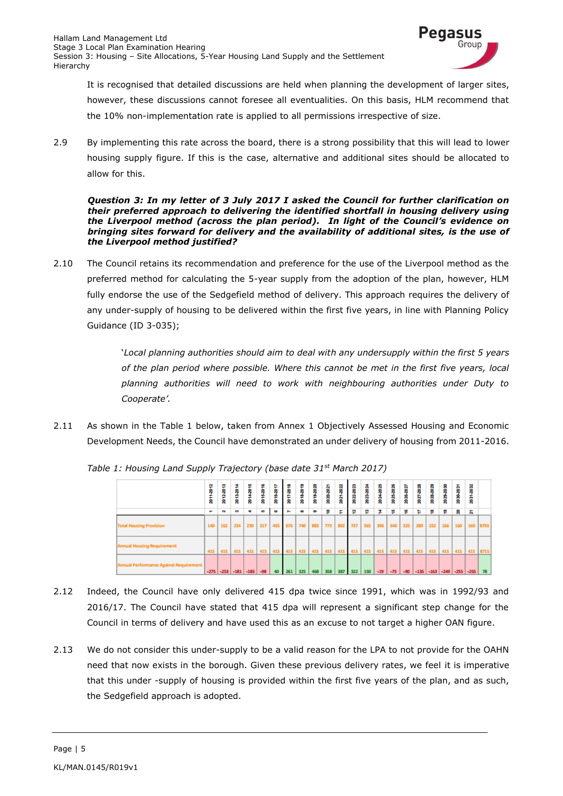

It is recognised that detailed discussions are held when planning the development of larger sites, however, these discussions cannot foresee all eventualities. On this basis, HLM recommend that the 10% non-implementation rate is applied to all permissions irrespective of size.

2.9 By implementing this rate across the board, there is a strong possibility that this will lead to lower housing supply figure. If this is the case, alternative and additional sites should be allocated to allow for this.

#### *Question 3: In my letter of 3 July 2017 I asked the Council for further clarification on their preferred approach to delivering the identified shortfall in housing delivery using the Liverpool method (across the plan period). In light of the Council's evidence on bringing sites forward for delivery and the availability of additional sites, is the use of the Liverpool method justified?*

2.10 The Council retains its recommendation and preference for the use of the Liverpool method as the preferred method for calculating the 5-year supply from the adoption of the plan, however, HLM fully endorse the use of the Sedgefield method of delivery. This approach requires the delivery of any under-supply of housing to be delivered within the first five years, in line with Planning Policy Guidance (ID 3-035);

> '*Local planning authorities should aim to deal with any undersupply within the first 5 years of the plan period where possible. Where this cannot be met in the first five years, local planning authorities will need to work with neighbouring authorities under Duty to Cooperate'.*

2.11 As shown in the Table 1 below, taken from Annex 1 Objectively Assessed Housing and Economic Development Needs, the Council have demonstrated an under delivery of housing from 2011-2016.



*Table 1: Housing Land Supply Trajectory (base date 31st March 2017)*

- 2.12 Indeed, the Council have only delivered 415 dpa twice since 1991, which was in 1992/93 and 2016/17. The Council have stated that 415 dpa will represent a significant step change for the Council in terms of delivery and have used this as an excuse to not target a higher OAN figure.
- 2.13 We do not consider this under-supply to be a valid reason for the LPA to not provide for the OAHN need that now exists in the borough. Given these previous delivery rates, we feel it is imperative that this under -supply of housing is provided within the first five years of the plan, and as such, the Sedgefield approach is adopted.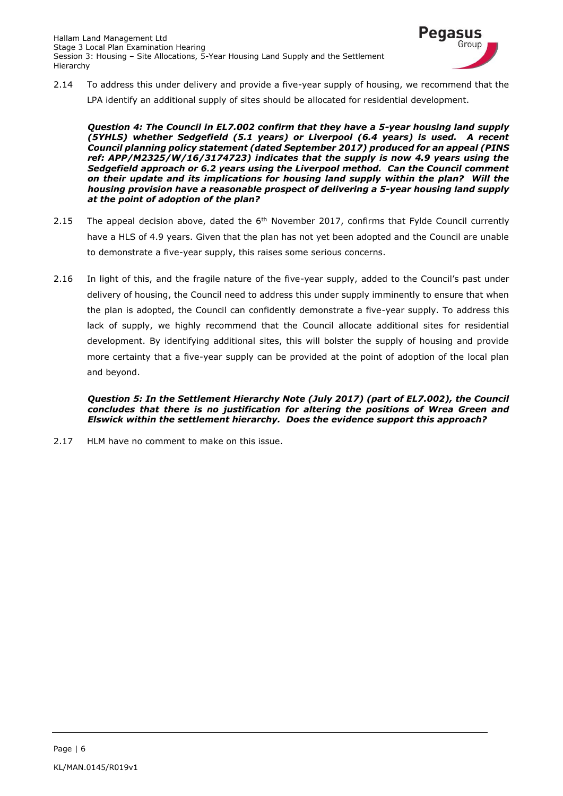

2.14 To address this under delivery and provide a five-year supply of housing, we recommend that the LPA identify an additional supply of sites should be allocated for residential development.

*Question 4: The Council in EL7.002 confirm that they have a 5-year housing land supply (5YHLS) whether Sedgefield (5.1 years) or Liverpool (6.4 years) is used. A recent Council planning policy statement (dated September 2017) produced for an appeal (PINS ref: APP/M2325/W/16/3174723) indicates that the supply is now 4.9 years using the Sedgefield approach or 6.2 years using the Liverpool method. Can the Council comment on their update and its implications for housing land supply within the plan? Will the housing provision have a reasonable prospect of delivering a 5-year housing land supply at the point of adoption of the plan?*

- 2.15 The appeal decision above, dated the  $6<sup>th</sup>$  November 2017, confirms that Fylde Council currently have a HLS of 4.9 years. Given that the plan has not yet been adopted and the Council are unable to demonstrate a five-year supply, this raises some serious concerns.
- 2.16 In light of this, and the fragile nature of the five-year supply, added to the Council's past under delivery of housing, the Council need to address this under supply imminently to ensure that when the plan is adopted, the Council can confidently demonstrate a five-year supply. To address this lack of supply, we highly recommend that the Council allocate additional sites for residential development. By identifying additional sites, this will bolster the supply of housing and provide more certainty that a five-year supply can be provided at the point of adoption of the local plan and beyond.

*Question 5: In the Settlement Hierarchy Note (July 2017) (part of EL7.002), the Council concludes that there is no justification for altering the positions of Wrea Green and Elswick within the settlement hierarchy. Does the evidence support this approach?*

2.17 HLM have no comment to make on this issue.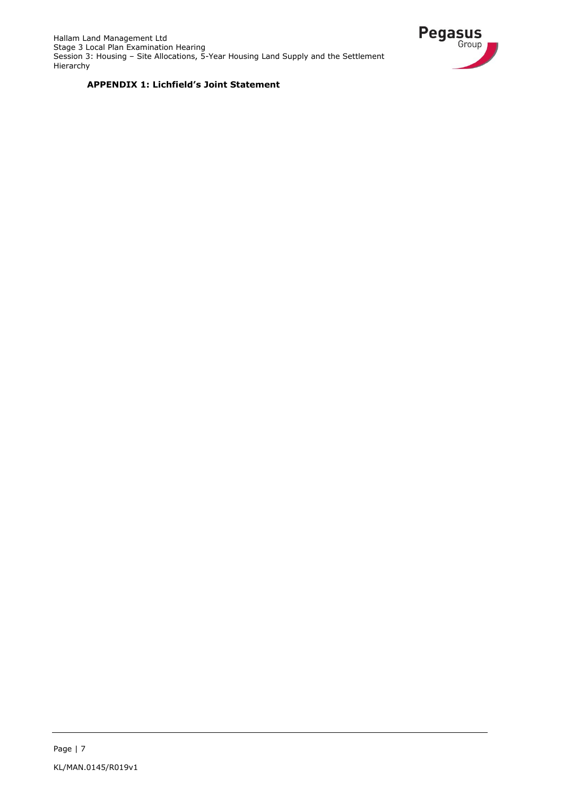

### **APPENDIX 1: Lichfield's Joint Statement**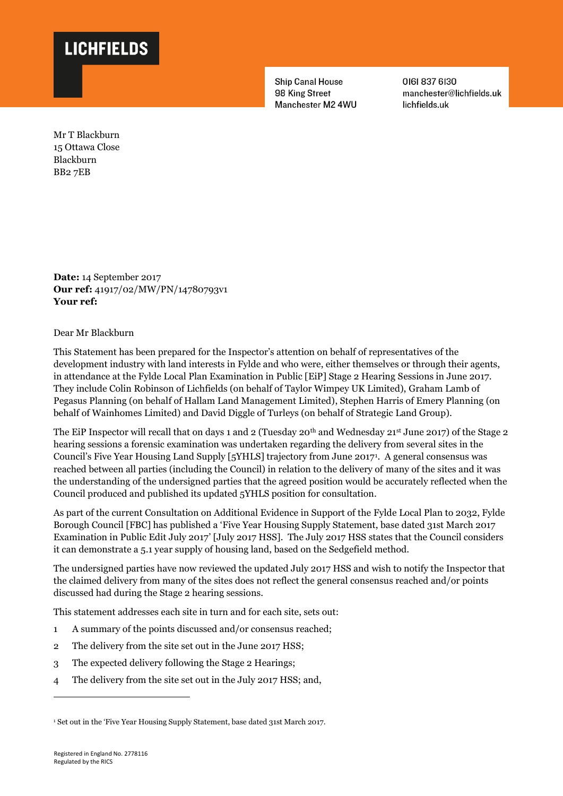

**Ship Canal House** 98 King Street Manchester M2 4WU 01618376130 manchester@lichfields.uk lichfields.uk

Mr T Blackburn 15 Ottawa Close Blackburn BB2 7EB

**Date:** 14 September 2017 **Our ref:** 41917/02/MW/PN/14780793v1 **Your ref:**

Dear Mr Blackburn

This Statement has been prepared for the Inspector's attention on behalf of representatives of the development industry with land interests in Fylde and who were, either themselves or through their agents, in attendance at the Fylde Local Plan Examination in Public [EiP] Stage 2 Hearing Sessions in June 2017. They include Colin Robinson of Lichfields (on behalf of Taylor Wimpey UK Limited), Graham Lamb of Pegasus Planning (on behalf of Hallam Land Management Limited), Stephen Harris of Emery Planning (on behalf of Wainhomes Limited) and David Diggle of Turleys (on behalf of Strategic Land Group).

The EiP Inspector will recall that on days 1 and 2 (Tuesday 20th and Wednesday 21st June 2017) of the Stage 2 hearing sessions a forensic examination was undertaken regarding the delivery from several sites in the Council's Five Year Housing Land Supply [5YHLS] trajectory from June 2017<sup>1</sup> . A general consensus was reached between all parties (including the Council) in relation to the delivery of many of the sites and it was the understanding of the undersigned parties that the agreed position would be accurately reflected when the Council produced and published its updated 5YHLS position for consultation.

As part of the current Consultation on Additional Evidence in Support of the Fylde Local Plan to 2032, Fylde Borough Council [FBC] has published a 'Five Year Housing Supply Statement, base dated 31st March 2017 Examination in Public Edit July 2017' [July 2017 HSS]. The July 2017 HSS states that the Council considers it can demonstrate a 5.1 year supply of housing land, based on the Sedgefield method.

The undersigned parties have now reviewed the updated July 2017 HSS and wish to notify the Inspector that the claimed delivery from many of the sites does not reflect the general consensus reached and/or points discussed had during the Stage 2 hearing sessions.

This statement addresses each site in turn and for each site, sets out:

- 1 A summary of the points discussed and/or consensus reached;
- 2 The delivery from the site set out in the June 2017 HSS;
- 3 The expected delivery following the Stage 2 Hearings;
- 4 The delivery from the site set out in the July 2017 HSS; and,

 $\overline{a}$ 

<sup>1</sup> Set out in the 'Five Year Housing Supply Statement, base dated 31st March 2017.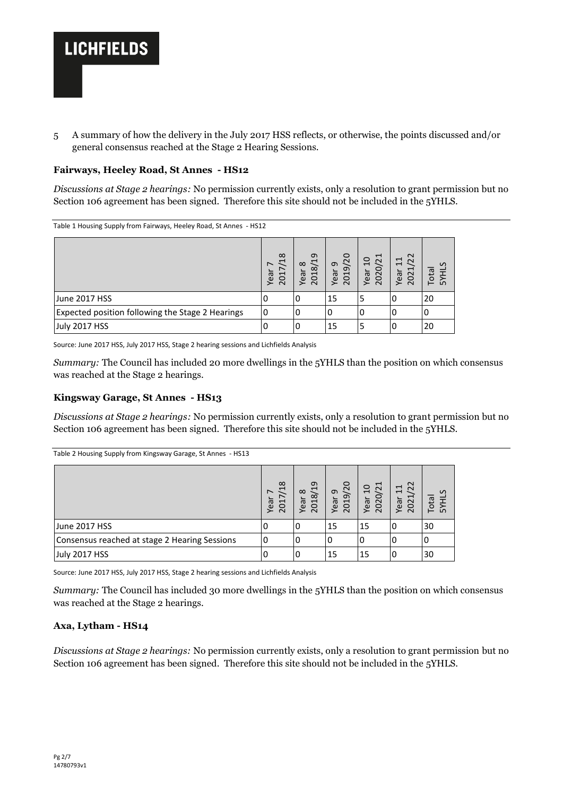

5 A summary of how the delivery in the July 2017 HSS reflects, or otherwise, the points discussed and/or general consensus reached at the Stage 2 Hearing Sessions.

#### **Fairways, Heeley Road, St Annes - HS12**

*Discussions at Stage 2 hearings:* No permission currently exists, only a resolution to grant permission but no Section 106 agreement has been signed. Therefore this site should not be included in the 5YHLS.

Table 1 Housing Supply from Fairways, Heeley Road, St Annes - HS12

|                                                  | $\infty$<br>$\overline{\phantom{0}}$<br>$\overline{\phantom{0}}$<br>Yea<br>$\overline{\phantom{0}}$<br>$\circ$<br>$\sim$ | G<br>$\mathbf{\overline{u}}$<br>$\infty$<br>$\infty$<br>$\overline{e}$<br>5<br>≻<br>$\sim$ | $\circ$<br>$\overline{c}$<br>ᡡ<br>ᡡ<br>ear<br>5<br>≻<br>$\sim$ | $\overline{\phantom{0}}$<br>$\overline{c}$<br>$\tilde{c}$<br>ear<br>$\Omega$<br>⋝<br>$\sim$ | $\sim$<br>$\Xi$<br>$\sim$<br>ī<br>Year<br>$\Omega$<br>$\sim$ | $\sigma$<br>ota<br>ᄃ<br>ഗ |
|--------------------------------------------------|--------------------------------------------------------------------------------------------------------------------------|--------------------------------------------------------------------------------------------|----------------------------------------------------------------|---------------------------------------------------------------------------------------------|--------------------------------------------------------------|---------------------------|
| June 2017 HSS                                    | υ                                                                                                                        | U                                                                                          | 15                                                             | 5                                                                                           | 0                                                            | 20                        |
| Expected position following the Stage 2 Hearings | 0                                                                                                                        |                                                                                            |                                                                | 0                                                                                           | 0                                                            | 0                         |
| <b>July 2017 HSS</b>                             |                                                                                                                          |                                                                                            | 15                                                             |                                                                                             | 0                                                            | 20                        |

Source: June 2017 HSS, July 2017 HSS, Stage 2 hearing sessions and Lichfields Analysis

*Summary:* The Council has included 20 more dwellings in the 5YHLS than the position on which consensus was reached at the Stage 2 hearings.

#### **Kingsway Garage, St Annes - HS13**

*Discussions at Stage 2 hearings:* No permission currently exists, only a resolution to grant permission but no Section 106 agreement has been signed. Therefore this site should not be included in the 5YHLS.

| Table 2 Housing Supply from Kingsway Garage, St Annes - HS13 |                                                   |                             |                      |                                    |                                         |                                              |
|--------------------------------------------------------------|---------------------------------------------------|-----------------------------|----------------------|------------------------------------|-----------------------------------------|----------------------------------------------|
|                                                              | 18<br>$\overline{\phantom{0}}$<br>Year<br>1<br>20 | 2018/19<br>$\infty$<br>Year | 2019/20<br>ᡡ<br>Year | 2020/21<br>$\overline{10}$<br>Year | $\overline{2}$<br>$\Xi$<br>2021<br>Year | $\mathcal{L}$<br><b>Total</b><br><b>HIKS</b> |
| June 2017 HSS                                                |                                                   | O                           | 15                   | 15                                 | 0                                       | 30                                           |
| Consensus reached at stage 2 Hearing Sessions                | 0                                                 | 0                           | O                    | 0                                  | 0                                       | 0                                            |
| July 2017 HSS                                                |                                                   | 0                           | 15                   | 15                                 | 0                                       | 30                                           |

Source: June 2017 HSS, July 2017 HSS, Stage 2 hearing sessions and Lichfields Analysis

*Summary:* The Council has included 30 more dwellings in the 5YHLS than the position on which consensus was reached at the Stage 2 hearings.

### **Axa, Lytham - HS14**

*Discussions at Stage 2 hearings:* No permission currently exists, only a resolution to grant permission but no Section 106 agreement has been signed. Therefore this site should not be included in the 5YHLS.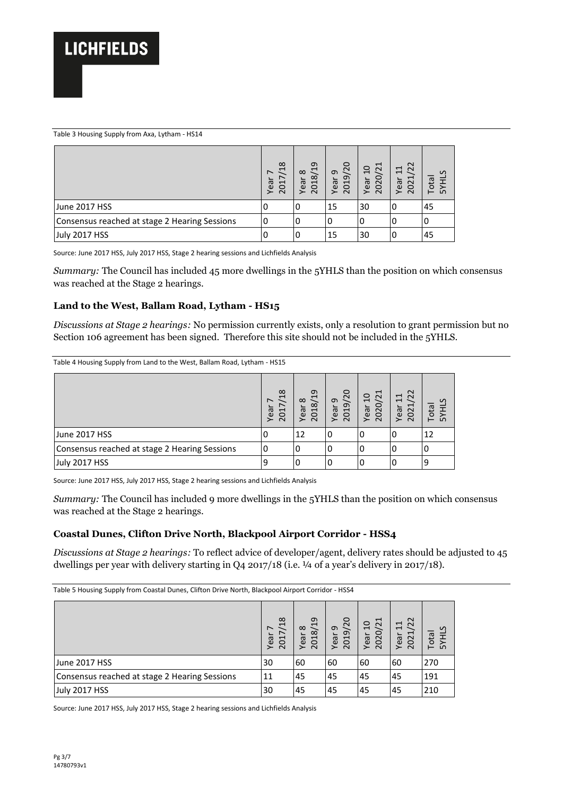#### Table 3 Housing Supply from Axa, Lytham - HS14

|                                               | $\infty$<br>$\mathbf{\overline{u}}$<br>↖<br>Year<br>$\overline{\phantom{0}}$<br>$\circ$<br>$\sim$ | G<br>ヷ<br>$\infty$<br>$\infty$<br>Year<br>$\overline{C}$<br>$\sim$ | /20<br>ᡡ<br>ᡡ<br>Year<br>$\overline{c}$<br>$\sim$ | H<br>$\Omega$<br>$\overline{c}$<br>020<br>Year<br>$\sim$ | $\sim$<br>$\sim$<br>$\Xi$<br>$\mathbf{\overline{}}$<br>Year<br>$\overline{O}$<br>$\sim$ | $\mathcal{L}$<br>otal<br>곶<br>ம |
|-----------------------------------------------|---------------------------------------------------------------------------------------------------|--------------------------------------------------------------------|---------------------------------------------------|----------------------------------------------------------|-----------------------------------------------------------------------------------------|---------------------------------|
| June 2017 HSS                                 | υ                                                                                                 | U                                                                  | 15                                                | 30                                                       | l O                                                                                     | 45                              |
| Consensus reached at stage 2 Hearing Sessions |                                                                                                   |                                                                    |                                                   | O                                                        |                                                                                         |                                 |
| <b>July 2017 HSS</b>                          |                                                                                                   |                                                                    | 15                                                | 30                                                       | 0                                                                                       | 45                              |

Source: June 2017 HSS, July 2017 HSS, Stage 2 hearing sessions and Lichfields Analysis

*Summary:* The Council has included 45 more dwellings in the 5YHLS than the position on which consensus was reached at the Stage 2 hearings.

#### **Land to the West, Ballam Road, Lytham - HS15**

*Discussions at Stage 2 hearings:* No permission currently exists, only a resolution to grant permission but no Section 106 agreement has been signed. Therefore this site should not be included in the 5YHLS.

| Table 4 Housing Supply from Land to the West, Ballam Road, Lytham - HS15 |  |  |
|--------------------------------------------------------------------------|--|--|
|                                                                          |  |  |

|                                               | $\infty$<br>$\mathbf{\mathbf{\mathsf{H}}}$<br>$\overline{\phantom{0}}$<br>Year<br>ដ<br>$\sim$ | თ<br>$\mathbf{\overline{u}}$<br>$\infty$<br>$\infty$<br>Year<br>5<br>$\sim$ | $\circ$<br>$\overline{2}$<br>ᡡ<br>ᡡ<br>Year<br>$\overline{c}$<br>$\sim$ | $\overline{\phantom{0}}$<br>$\overline{a}$<br>$\mathcal{L}$<br>0<br>Year<br>$\Omega$<br>$\sim$ | $\sim$<br>$\overline{11}$<br>$\sim$<br>$\overline{\phantom{0}}$<br>Year<br>$\Omega$<br>$\sim$ | ota<br>LO |
|-----------------------------------------------|-----------------------------------------------------------------------------------------------|-----------------------------------------------------------------------------|-------------------------------------------------------------------------|------------------------------------------------------------------------------------------------|-----------------------------------------------------------------------------------------------|-----------|
| June 2017 HSS                                 |                                                                                               | 12                                                                          |                                                                         |                                                                                                |                                                                                               | 12        |
| Consensus reached at stage 2 Hearing Sessions |                                                                                               | O                                                                           | U                                                                       | υ                                                                                              |                                                                                               |           |
| <b>July 2017 HSS</b>                          |                                                                                               |                                                                             |                                                                         |                                                                                                |                                                                                               |           |

Source: June 2017 HSS, July 2017 HSS, Stage 2 hearing sessions and Lichfields Analysis

*Summary:* The Council has included 9 more dwellings in the 5YHLS than the position on which consensus was reached at the Stage 2 hearings.

### **Coastal Dunes, Clifton Drive North, Blackpool Airport Corridor - HSS4**

*Discussions at Stage 2 hearings:* To reflect advice of developer/agent, delivery rates should be adjusted to 45 dwellings per year with delivery starting in Q4 2017/18 (i.e.  $\frac{1}{4}$  of a year's delivery in 2017/18).

Table 5 Housing Supply from Coastal Dunes, Clifton Drive North, Blackpool Airport Corridor - HSS4

|                                               | 18<br>$\overline{\phantom{0}}$<br>Year<br>Ĺ<br>$\circ$<br>$\sim$ | $\overline{c}$<br>$\infty$<br>$\infty$<br>ear<br>$\overline{C}$<br>≻<br>$\sim$ | /20<br>ᡡ<br>$\sigma$<br>Year<br>$\overline{0}$<br>$\sim$ | /21<br>$\Omega$<br>$\circ$<br>ear<br>$\overline{O}$<br>≻<br>$\sim$ | 22<br>11<br>⊣<br>Year<br>$\overline{0}$<br>$\sim$ | $\mathcal{L}$<br>otal<br>≻<br>ம<br>⊢ |
|-----------------------------------------------|------------------------------------------------------------------|--------------------------------------------------------------------------------|----------------------------------------------------------|--------------------------------------------------------------------|---------------------------------------------------|--------------------------------------|
| June 2017 HSS                                 | 30                                                               | 60                                                                             | 60                                                       | 60                                                                 | 60                                                | 270                                  |
| Consensus reached at stage 2 Hearing Sessions | 11                                                               | 45                                                                             | 45                                                       | 45                                                                 | 45                                                | 191                                  |
| July 2017 HSS                                 | 30                                                               | 45                                                                             | 45                                                       | 45                                                                 | 45                                                | 210                                  |

Source: June 2017 HSS, July 2017 HSS, Stage 2 hearing sessions and Lichfields Analysis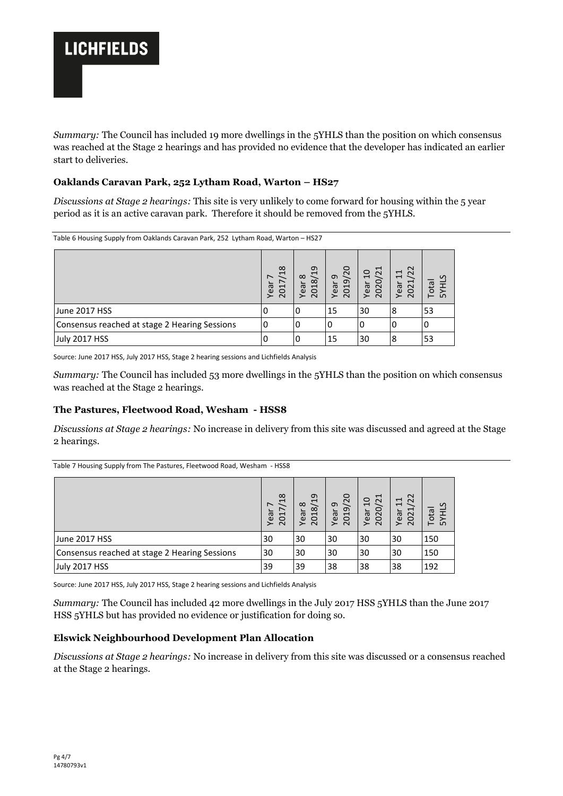

*Summary:* The Council has included 19 more dwellings in the 5YHLS than the position on which consensus was reached at the Stage 2 hearings and has provided no evidence that the developer has indicated an earlier start to deliveries.

### **Oaklands Caravan Park, 252 Lytham Road, Warton – HS27**

*Discussions at Stage 2 hearings:* This site is very unlikely to come forward for housing within the 5 year period as it is an active caravan park. Therefore it should be removed from the 5YHLS.

Table 6 Housing Supply from Oaklands Caravan Park, 252 Lytham Road, Warton – HS27

|                                               | $\infty$<br>J<br>$\overline{\phantom{0}}$<br>ear<br>$\overline{c}$<br>≻<br>$\sim$ | თ<br>$\overline{\phantom{0}}$<br>$\infty$<br>$\infty$<br>Year<br>$\overline{C}$<br>$\sim$ | /20<br>ᡡ<br>$\sigma$<br>Year<br>$\overline{c}$<br>$\sim$ | $\overline{\phantom{0}}$<br>$\overline{c}$<br>0/2<br>Year<br>$\Omega$<br>$\sim$ | $\sim$<br>$\overline{11}$<br>$\sim$<br>$\overline{\phantom{0}}$<br>Year<br>$\Omega$<br>$\sim$ | $\mathcal{L}$<br>otal<br>⊢<br>ഥ |
|-----------------------------------------------|-----------------------------------------------------------------------------------|-------------------------------------------------------------------------------------------|----------------------------------------------------------|---------------------------------------------------------------------------------|-----------------------------------------------------------------------------------------------|---------------------------------|
| June 2017 HSS                                 |                                                                                   | 0                                                                                         | 15                                                       | 30                                                                              | 8                                                                                             | 53                              |
| Consensus reached at stage 2 Hearing Sessions |                                                                                   | 0                                                                                         | 0                                                        |                                                                                 |                                                                                               |                                 |
| July 2017 HSS                                 |                                                                                   | 0                                                                                         | 15                                                       | 30                                                                              | 8                                                                                             | 53                              |

Source: June 2017 HSS, July 2017 HSS, Stage 2 hearing sessions and Lichfields Analysis

*Summary:* The Council has included 53 more dwellings in the 5YHLS than the position on which consensus was reached at the Stage 2 hearings.

### **The Pastures, Fleetwood Road, Wesham - HSS8**

*Discussions at Stage 2 hearings:* No increase in delivery from this site was discussed and agreed at the Stage 2 hearings.

|                                               | 18<br>$\overline{\phantom{0}}$<br>$\overline{ }$<br>Year<br>201 | 2018/19<br>$\infty$<br>Year | /20<br>ᡡ<br>2019<br>Year | /21<br>$\overline{c}$<br>2020<br>Year | $\overline{2}$<br>$\Xi$<br>L<br>Year<br>202 | <b>SYHLS</b><br>ota<br>⊢ |
|-----------------------------------------------|-----------------------------------------------------------------|-----------------------------|--------------------------|---------------------------------------|---------------------------------------------|--------------------------|
| June 2017 HSS                                 | 30                                                              | 30                          | 30                       | 30                                    | 30                                          | 150                      |
| Consensus reached at stage 2 Hearing Sessions | 30                                                              | 30                          | 30                       | 30                                    | 30                                          | 150                      |
| July 2017 HSS                                 | 39                                                              | 39                          | 38                       | 38                                    | 38                                          | 192                      |

Table 7 Housing Supply from The Pastures, Fleetwood Road, Wesham - HSS8

Source: June 2017 HSS, July 2017 HSS, Stage 2 hearing sessions and Lichfields Analysis

*Summary:* The Council has included 42 more dwellings in the July 2017 HSS 5YHLS than the June 2017 HSS 5YHLS but has provided no evidence or justification for doing so.

## **Elswick Neighbourhood Development Plan Allocation**

*Discussions at Stage 2 hearings:* No increase in delivery from this site was discussed or a consensus reached at the Stage 2 hearings.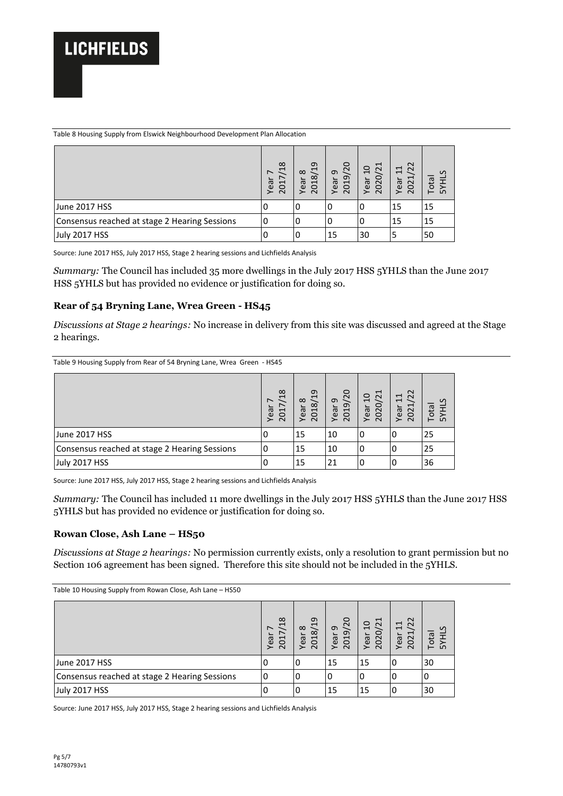Table 8 Housing Supply from Elswick Neighbourhood Development Plan Allocation

|                                               | $\infty$<br>−.<br>$\overline{\phantom{0}}$<br>Year<br>J<br>$\circ$<br>$\sim$ | თ<br>ヷ<br>$\infty$<br>$\infty$<br>╰<br>$\overline{c}$<br>$\overline{e}$<br>≻<br>$\sim$ | /20<br>ᡡ<br>$\sigma$<br>Year<br>$\overline{c}$<br>$\overline{N}$ | $\overline{21}$<br>$\Omega$<br>$\circ$<br>Year<br>202 | $\sim$<br>$\Xi$<br>$\sim$<br>$\sim$<br>ea<br>$\circ$<br>$\sim$<br>≻ | S<br>ota<br>≿<br>⊢ |
|-----------------------------------------------|------------------------------------------------------------------------------|----------------------------------------------------------------------------------------|------------------------------------------------------------------|-------------------------------------------------------|---------------------------------------------------------------------|--------------------|
| June 2017 HSS                                 | υ                                                                            | O                                                                                      |                                                                  |                                                       | 15                                                                  | 15                 |
| Consensus reached at stage 2 Hearing Sessions |                                                                              |                                                                                        |                                                                  |                                                       | 15                                                                  | 15                 |
| July 2017 HSS                                 |                                                                              | υ                                                                                      | 15                                                               | 30                                                    | э                                                                   | 50                 |

Source: June 2017 HSS, July 2017 HSS, Stage 2 hearing sessions and Lichfields Analysis

*Summary:* The Council has included 35 more dwellings in the July 2017 HSS 5YHLS than the June 2017 HSS 5YHLS but has provided no evidence or justification for doing so.

### **Rear of 54 Bryning Lane, Wrea Green - HS45**

*Discussions at Stage 2 hearings:* No increase in delivery from this site was discussed and agreed at the Stage 2 hearings.

Table 9 Housing Supply from Rear of 54 Bryning Lane, Wrea Green - HS45

|                                               | $\infty$<br>$\mathbf{\mathbf{\mathsf{H}}}$<br>$\overline{\phantom{0}}$<br>Yea<br>5<br>$\sim$ | ᡡ<br>$\mathbf{\overline{u}}$<br>$\infty$<br>$\infty$<br>Yea<br><b>D</b><br>$\sim$ | /20<br>ᡡ<br>$\sigma$<br>ear<br>$\overline{c}$<br>≻<br>$\sim$ | $\mathbf{\overline{u}}$<br>$\overline{10}$<br>$\tilde{c}$<br>$\circ$<br>Yea<br>$\Omega$<br>$\sim$ | $\sim$<br>F<br>$\sim$<br>$\overline{\phantom{0}}$<br>$\sim$<br>Yea<br>$\Omega$<br>$\sim$ | $\mathcal{L}$<br>ota<br>ഗ<br>┕ |
|-----------------------------------------------|----------------------------------------------------------------------------------------------|-----------------------------------------------------------------------------------|--------------------------------------------------------------|---------------------------------------------------------------------------------------------------|------------------------------------------------------------------------------------------|--------------------------------|
| June 2017 HSS                                 |                                                                                              | 15                                                                                | 10                                                           | 0                                                                                                 |                                                                                          | 25                             |
| Consensus reached at stage 2 Hearing Sessions |                                                                                              | 15                                                                                | 10                                                           | 0                                                                                                 | U                                                                                        | 25                             |
| July 2017 HSS                                 |                                                                                              | 15                                                                                | 21                                                           |                                                                                                   |                                                                                          | 36                             |

Source: June 2017 HSS, July 2017 HSS, Stage 2 hearing sessions and Lichfields Analysis

*Summary:* The Council has included 11 more dwellings in the July 2017 HSS 5YHLS than the June 2017 HSS 5YHLS but has provided no evidence or justification for doing so.

#### **Rowan Close, Ash Lane – HS50**

*Discussions at Stage 2 hearings:* No permission currently exists, only a resolution to grant permission but no Section 106 agreement has been signed. Therefore this site should not be included in the 5YHLS.

| Table 10 Housing Supply from Rowan Close, Ash Lane - HS50 |                                                   |                                     |                          |                                 |                             |                      |
|-----------------------------------------------------------|---------------------------------------------------|-------------------------------------|--------------------------|---------------------------------|-----------------------------|----------------------|
|                                                           | 18<br>$\overline{\phantom{0}}$<br>Year<br>J<br>20 | $^{29}$<br>$\infty$<br>2018<br>Year | /20<br>ᡡ<br>2019<br>Year | /21<br>$\Omega$<br>2020<br>Year | 22<br>$\Xi$<br>2021<br>Year | S<br>Total<br>도<br>≿ |
| June 2017 HSS                                             | 0                                                 | 0                                   | 15                       | 15                              | 0                           | 30                   |
| Consensus reached at stage 2 Hearing Sessions             |                                                   | 0                                   | 0                        |                                 |                             |                      |
| <b>July 2017 HSS</b>                                      |                                                   | 0                                   | 15                       | 15                              | U                           | 30                   |

Source: June 2017 HSS, July 2017 HSS, Stage 2 hearing sessions and Lichfields Analysis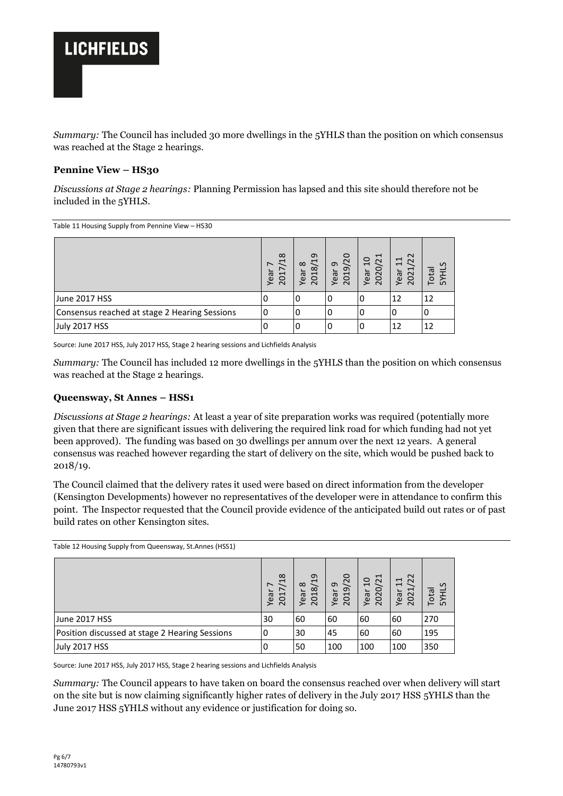

*Summary:* The Council has included 30 more dwellings in the 5YHLS than the position on which consensus was reached at the Stage 2 hearings.

### **Pennine View – HS30**

*Discussions at Stage 2 hearings:* Planning Permission has lapsed and this site should therefore not be included in the 5YHLS.

Table 11 Housing Supply from Pennine View – HS30

|                                               | $\infty$<br>$\overline{\phantom{0}}$<br>$\overline{\phantom{0}}$<br>Year<br>ដ<br>$\sim$ | თ<br>$\overline{\phantom{0}}$<br>$\infty$<br>$\infty$<br>ear<br>5<br>$\sim$<br>≻ | /20<br>ᡡ<br>ᡡ<br>ear<br><b>S</b><br>≻<br>$\sim$ | /21<br>$\overline{c}$<br>$\circ$<br>Year<br>$\Omega$<br>$\sim$ | $\sim$<br>$\mathbf{\overline{u}}$<br>$\sim$<br>$\overline{ }$<br>⊣<br>Year<br>$\Omega$<br>$\sim$ | $\mathcal{L}$<br>ota<br>ഗ |
|-----------------------------------------------|-----------------------------------------------------------------------------------------|----------------------------------------------------------------------------------|-------------------------------------------------|----------------------------------------------------------------|--------------------------------------------------------------------------------------------------|---------------------------|
| June 2017 HSS                                 | υ                                                                                       | υ                                                                                | U                                               | U                                                              | 12                                                                                               | 12                        |
| Consensus reached at stage 2 Hearing Sessions |                                                                                         |                                                                                  |                                                 |                                                                |                                                                                                  |                           |
| <b>July 2017 HSS</b>                          |                                                                                         |                                                                                  |                                                 |                                                                | 12                                                                                               | 12                        |

Source: June 2017 HSS, July 2017 HSS, Stage 2 hearing sessions and Lichfields Analysis

*Summary:* The Council has included 12 more dwellings in the 5YHLS than the position on which consensus was reached at the Stage 2 hearings.

#### **Queensway, St Annes – HSS1**

*Discussions at Stage 2 hearings:* At least a year of site preparation works was required (potentially more given that there are significant issues with delivering the required link road for which funding had not yet been approved). The funding was based on 30 dwellings per annum over the next 12 years. A general consensus was reached however regarding the start of delivery on the site, which would be pushed back to 2018/19.

The Council claimed that the delivery rates it used were based on direct information from the developer (Kensington Developments) however no representatives of the developer were in attendance to confirm this point. The Inspector requested that the Council provide evidence of the anticipated build out rates or of past build rates on other Kensington sites.

Table 12 Housing Supply from Queensway, St.Annes (HSS1) Year 7 2017/18 Year 8 2018/19 Year 9 2019/20 Year 10 2020/21 Year 11 2021/22 Total 5YHLS June 2017 HSS 30 60 60 60 60 270 Position discussed at stage 2 Hearing Sessions 0 30 45 60 60 195 July 2017 HSS 0 50 100 100 100 350

Source: June 2017 HSS, July 2017 HSS, Stage 2 hearing sessions and Lichfields Analysis

*Summary:* The Council appears to have taken on board the consensus reached over when delivery will start on the site but is now claiming significantly higher rates of delivery in the July 2017 HSS 5YHLS than the June 2017 HSS 5YHLS without any evidence or justification for doing so.